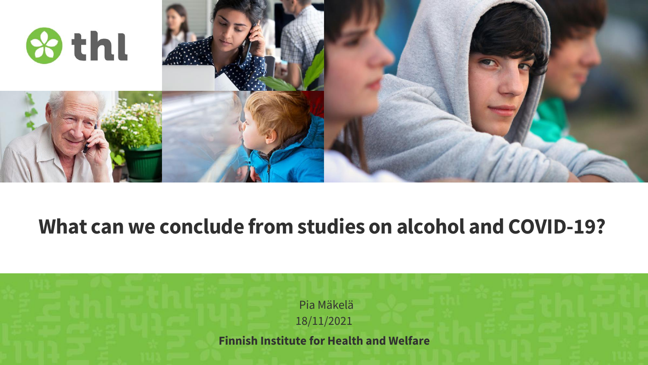

#### **What can we conclude from studies on alcohol and COVID-19?**

Pia Mäkelä 18/11/2021

**Finnish Institute for Health and Welfare**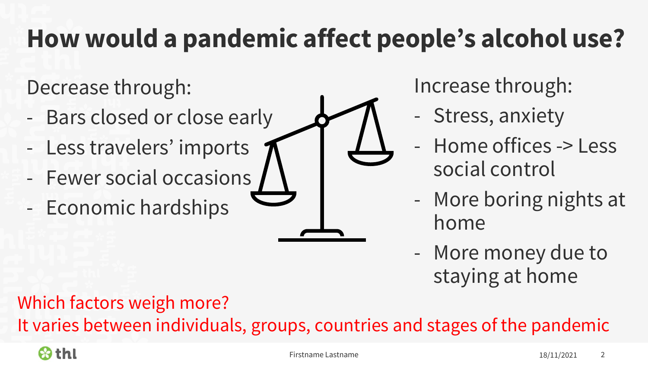# **How would a pandemic affect people's alcohol use?**

Decrease through:

- Bars closed or close early
- Less travelers' imports
- Fewer social occasions
- Economic hardships

Increase through:

- Stress, anxiety
- Home offices -> Less social control
- More boring nights at home
- More money due to staying at home

Which factors weigh more?

It varies between individuals, groups, countries and stages of the pandemic

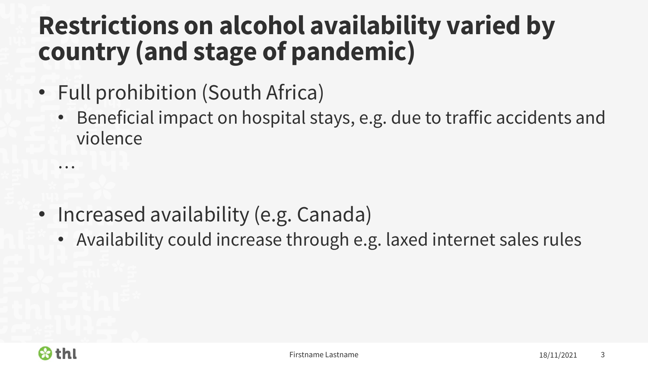### **Restrictions on alcohol availability varied by country (and stage of pandemic)**

- Full prohibition (South Africa)
	- Beneficial impact on hospital stays, e.g. due to traffic accidents and violence

- Increased availability (e.g. Canada)
	- Availability could increase through e.g. laxed internet sales rules



…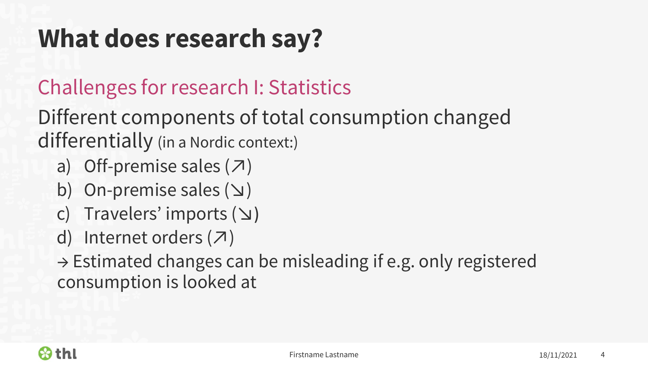## **What does research say?**

#### Challenges for research I: Statistics

#### Different components of total consumption changed differentially (in a Nordic context:)

- a) Off-premise sales  $(7)$
- b) On-premise sales ( $\vee$ )
- c) Travelers' imports (↘)
- d) Internet orders  $(7)$

 $\rightarrow$  Estimated changes can be misleading if e.g. only registered consumption is looked at

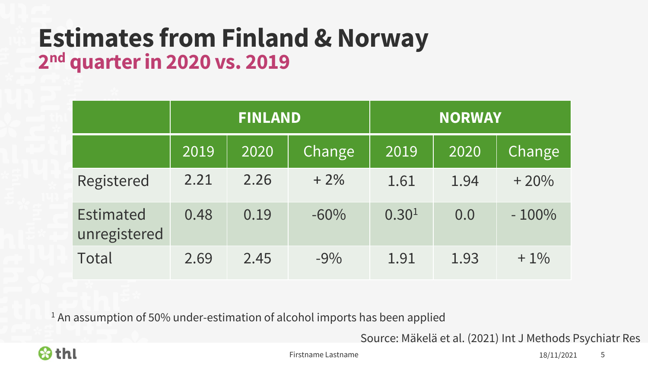#### **Estimates from Finland & Norway 2 nd quarter in 2020 vs. 2019**

|                                  | <b>FINLAND</b> |      |        | <b>NORWAY</b>     |      |         |
|----------------------------------|----------------|------|--------|-------------------|------|---------|
|                                  | 2019           | 2020 | Change | 2019              | 2020 | Change  |
| Registered                       | 2.21           | 2.26 | $+2\%$ | 1.61              | 1.94 | $+20%$  |
| <b>Estimated</b><br>unregistered | 0.48           | 0.19 | $-60%$ | 0.30 <sup>1</sup> | 0.0  | $-100%$ |
| Total                            | 2.69           | 2.45 | $-9%$  | 1.91              | 1.93 | $+1\%$  |

<sup>1</sup> An assumption of 50% under-estimation of alcohol imports has been applied

Source: Mäkelä et al. (2021) Int J Methods Psychiatr Res



Firstname Lastname **18/11/2021** 5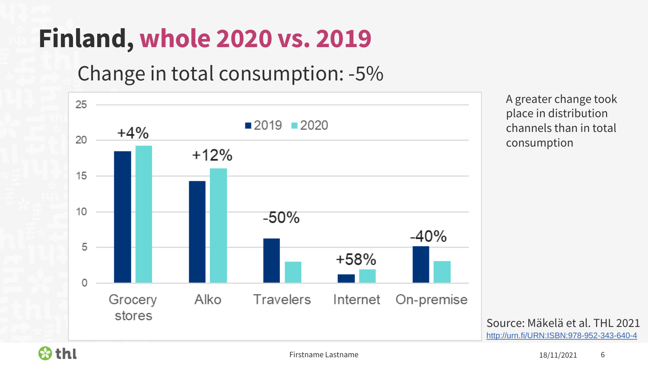# **Finland, whole 2020 vs. 2019**

Change in total consumption: -5%



A greater change took place in distribution channels than in total consumption

Source: Mäkelä et al. THL 2021 <http://urn.fi/URN:ISBN:978-952-343-640-4>

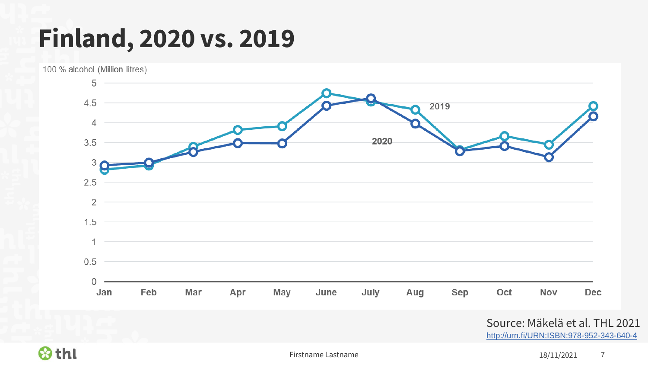## **Finland, 2020 vs. 2019**



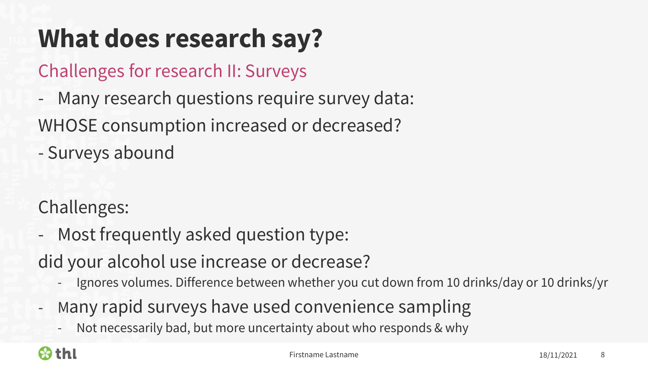## **What does research say?**

Challenges for research II: Surveys

- Many research questions require survey data:

WHOSE consumption increased or decreased?

- Surveys abound

Challenges:

- Most frequently asked question type:

did your alcohol use increase or decrease?

- Ignores volumes. Difference between whether you cut down from 10 drinks/day or 10 drinks/yr
- Many rapid surveys have used convenience sampling
	- Not necessarily bad, but more uncertainty about who responds & why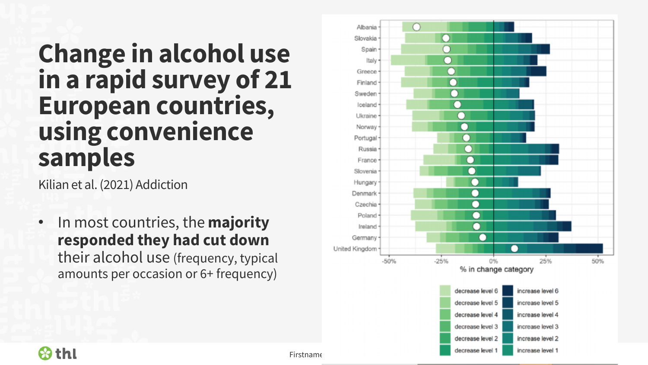### **Change in alcohol use in a rapid survey of 21 European countries, using convenience samples**

Kilian et al. (2021) Addiction

• In most countries, the **majority responded they had cut down** their alcohol use (frequency, typical amounts per occasion or 6+ frequency)



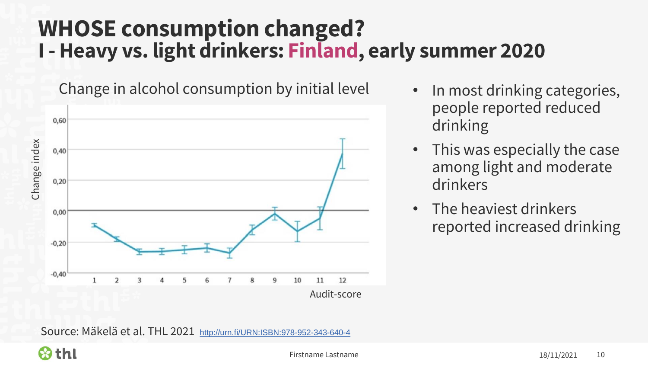#### **WHOSE consumption changed? I - Heavy vs. light drinkers: Finland, early summer 2020**

Change in alcohol consumption by initial level



- In most drinking categories, people reported reduced drinking
- This was especially the case among light and moderate drinkers
- The heaviest drinkers reported increased drinking

Source: Mäkelä et al. THL 2021 <http://urn.fi/URN:ISBN:978-952-343-640-4>

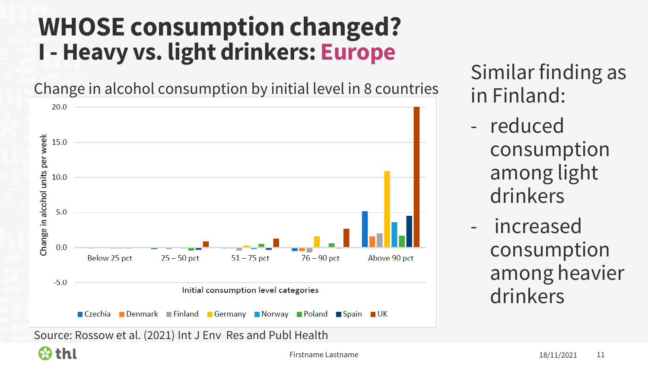### **WHOSE consumption changed? I - Heavy vs. light drinkers: Europe**

Change in alcohol consumption by initial level in 8 countries



Similar finding as in Finland:

- reduced consumption among light drinkers
- increased consumption among heavier drinkers

Source: Rossow et al. (2021) Int J Env Res and Publ Health

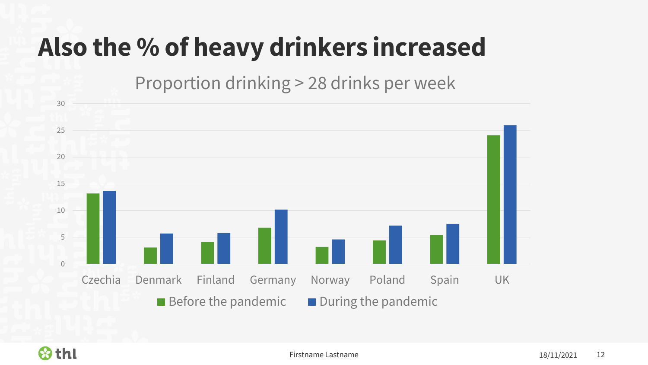# **Also the % of heavy drinkers increased**

Proportion drinking > 28 drinks per week



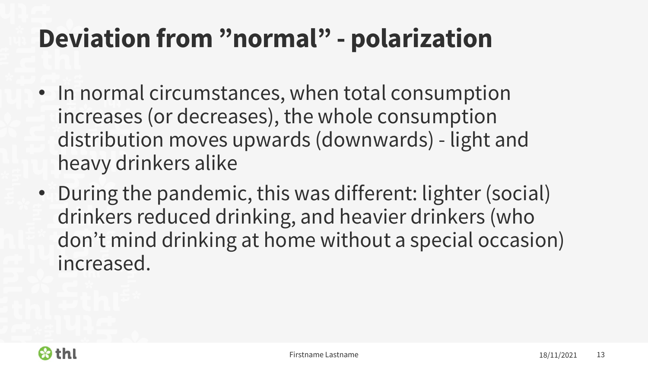# **Deviation from "normal" - polarization**

- In normal circumstances, when total consumption increases (or decreases), the whole consumption distribution moves upwards (downwards) - light and heavy drinkers alike
- During the pandemic, this was different: lighter (social) drinkers reduced drinking, and heavier drinkers (who don't mind drinking at home without a special occasion) increased.

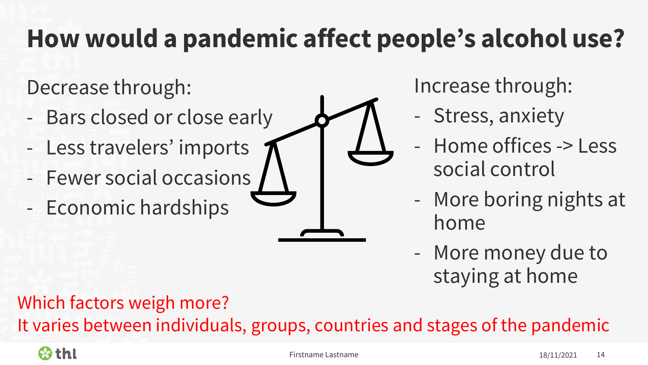# **How would a pandemic affect people's alcohol use?**

Decrease through:

- Bars closed or close early
- Less travelers' imports
- Fewer social occasions
- Economic hardships

Increase through:

- Stress, anxiety
- Home offices -> Less social control
- More boring nights at home
- More money due to staying at home

Which factors weigh more?

It varies between individuals, groups, countries and stages of the pandemic

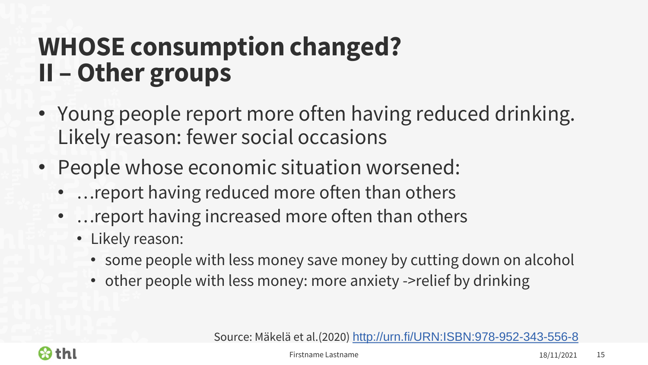## **WHOSE consumption changed? II – Other groups**

- Young people report more often having reduced drinking. Likely reason: fewer social occasions
- People whose economic situation worsened:
	- …report having reduced more often than others
	- …report having increased more often than others
		- Likely reason:
			- some people with less money save money by cutting down on alcohol
			- other people with less money: more anxiety ->relief by drinking

Source: Mäkelä et al.(2020) <http://urn.fi/URN:ISBN:978-952-343-556-8>